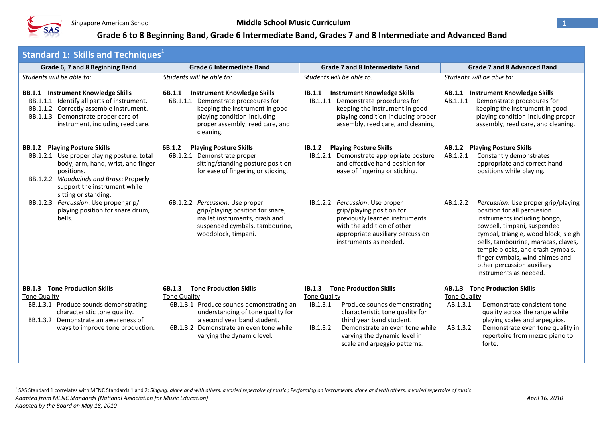

 $\overline{a}$ 

| <b>Standard 1: Skills and Techniques</b>                                                                                                                                                                                                 |                                                                                                                                                                                                                                                         |                                                                                                                                                                                                                                                                                         |                                                                                                                                                                                                                                                                                                                                                              |
|------------------------------------------------------------------------------------------------------------------------------------------------------------------------------------------------------------------------------------------|---------------------------------------------------------------------------------------------------------------------------------------------------------------------------------------------------------------------------------------------------------|-----------------------------------------------------------------------------------------------------------------------------------------------------------------------------------------------------------------------------------------------------------------------------------------|--------------------------------------------------------------------------------------------------------------------------------------------------------------------------------------------------------------------------------------------------------------------------------------------------------------------------------------------------------------|
| Grade 6, 7 and 8 Beginning Band                                                                                                                                                                                                          | <b>Grade 6 Intermediate Band</b>                                                                                                                                                                                                                        | <b>Grade 7 and 8 Intermediate Band</b>                                                                                                                                                                                                                                                  | <b>Grade 7 and 8 Advanced Band</b>                                                                                                                                                                                                                                                                                                                           |
| Students will be able to:                                                                                                                                                                                                                | Students will be able to:                                                                                                                                                                                                                               | Students will be able to:                                                                                                                                                                                                                                                               | Students will be able to:                                                                                                                                                                                                                                                                                                                                    |
| <b>BB.1.1 Instrument Knowledge Skills</b><br>BB.1.1.1 Identify all parts of instrument.<br>BB.1.1.2 Correctly assemble instrument.<br>BB.1.1.3 Demonstrate proper care of<br>instrument, including reed care.                            | <b>Instrument Knowledge Skills</b><br>6B.1.1<br>6B.1.1.1 Demonstrate procedures for<br>keeping the instrument in good<br>playing condition-including<br>proper assembly, reed care, and<br>cleaning.                                                    | <b>Instrument Knowledge Skills</b><br>IB.1.1<br>IB.1.1.1 Demonstrate procedures for<br>keeping the instrument in good<br>playing condition-including proper<br>assembly, reed care, and cleaning.                                                                                       | AB.1.1 Instrument Knowledge Skills<br>AB.1.1.1<br>Demonstrate procedures for<br>keeping the instrument in good<br>playing condition-including proper<br>assembly, reed care, and cleaning.                                                                                                                                                                   |
| <b>BB.1.2 Playing Posture Skills</b><br>BB.1.2.1 Use proper playing posture: total<br>body, arm, hand, wrist, and finger<br>positions.<br>BB.1.2.2 Woodwinds and Brass: Properly<br>support the instrument while<br>sitting or standing. | <b>Playing Posture Skills</b><br>6B.1.2<br>6B.1.2.1 Demonstrate proper<br>sitting/standing posture position<br>for ease of fingering or sticking.                                                                                                       | <b>Playing Posture Skills</b><br>IB.1.2<br>IB.1.2.1 Demonstrate appropriate posture<br>and effective hand position for<br>ease of fingering or sticking.                                                                                                                                | <b>AB.1.2 Playing Posture Skills</b><br>AB.1.2.1<br>Constantly demonstrates<br>appropriate and correct hand<br>positions while playing.                                                                                                                                                                                                                      |
| BB.1.2.3 Percussion: Use proper grip/<br>playing position for snare drum,<br>bells.                                                                                                                                                      | 6B.1.2.2 Percussion: Use proper<br>grip/playing position for snare,<br>mallet instruments, crash and<br>suspended cymbals, tambourine,<br>woodblock, timpani.                                                                                           | Percussion: Use proper<br>IB.1.2.2<br>grip/playing position for<br>previously learned instruments<br>with the addition of other<br>appropriate auxiliary percussion<br>instruments as needed.                                                                                           | AB.1.2.2<br>Percussion: Use proper grip/playing<br>position for all percussion<br>instruments including bongo,<br>cowbell, timpani, suspended<br>cymbal, triangle, wood block, sleigh<br>bells, tambourine, maracas, claves,<br>temple blocks, and crash cymbals,<br>finger cymbals, wind chimes and<br>other percussion auxiliary<br>instruments as needed. |
| <b>BB.1.3 Tone Production Skills</b><br><b>Tone Quality</b><br>BB.1.3.1 Produce sounds demonstrating<br>characteristic tone quality.<br>BB.1.3.2 Demonstrate an awareness of<br>ways to improve tone production.                         | 6B.1.3<br><b>Tone Production Skills</b><br><b>Tone Quality</b><br>6B.1.3.1 Produce sounds demonstrating an<br>understanding of tone quality for<br>a second year band student.<br>6B.1.3.2 Demonstrate an even tone while<br>varying the dynamic level. | <b>Tone Production Skills</b><br>IB.1.3<br><b>Tone Quality</b><br>IB.1.3.1<br>Produce sounds demonstrating<br>characteristic tone quality for<br>third year band student.<br>IB.1.3.2<br>Demonstrate an even tone while<br>varying the dynamic level in<br>scale and arpeggio patterns. | <b>AB.1.3 Tone Production Skills</b><br><b>Tone Quality</b><br>AB.1.3.1<br>Demonstrate consistent tone<br>quality across the range while<br>playing scales and arpeggios.<br>Demonstrate even tone quality in<br>AB.1.3.2<br>repertoire from mezzo piano to<br>forte.                                                                                        |

*Adapted from MENC Standards (National Association for Music Education) April 16, 2010 Adopted by the Board on May 18, 2010* <sup>1</sup> SAS Standard 1 correlates with MENC Standards 1 and 2: Singing, alone and with others, a varied repertoire of music ; *Performing on instruments*, alone and with others, a varied repertoire of music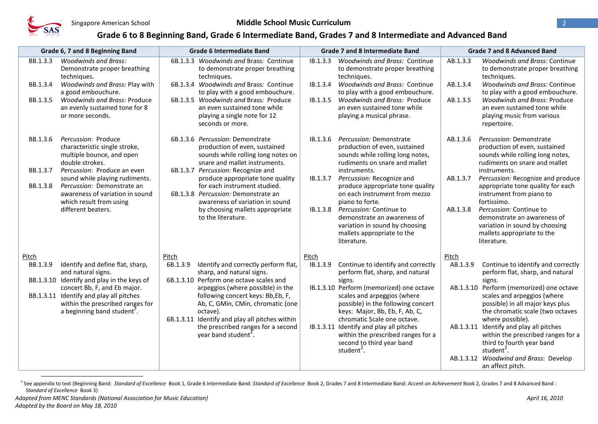

|          | Grade 6, 7 and 8 Beginning Band                                                                                        | <b>Grade 6 Intermediate Band</b>                                                                                                                             |          | <b>Grade 7 and 8 Intermediate Band</b>                                                                                                |          | <b>Grade 7 and 8 Advanced Band</b>                                                                                                                  |
|----------|------------------------------------------------------------------------------------------------------------------------|--------------------------------------------------------------------------------------------------------------------------------------------------------------|----------|---------------------------------------------------------------------------------------------------------------------------------------|----------|-----------------------------------------------------------------------------------------------------------------------------------------------------|
| BB.1.3.3 | <b>Woodwinds and Brass:</b><br>Demonstrate proper breathing<br>techniques.                                             | 6B.1.3.3 Woodwinds and Brass: Continue<br>to demonstrate proper breathing<br>techniques.                                                                     | IB.1.3.3 | <b>Woodwinds and Brass: Continue</b><br>to demonstrate proper breathing<br>techniques.                                                | AB.1.3.3 | <b>Woodwinds and Brass: Continue</b><br>to demonstrate proper breathing<br>techniques.                                                              |
| BB.1.3.4 | Woodwinds and Brass: Play with                                                                                         | 6B.1.3.4 Woodwinds and Brass: Continue                                                                                                                       | IB.1.3.4 | <b>Woodwinds and Brass: Continue</b>                                                                                                  | AB.1.3.4 | <b>Woodwinds and Brass: Continue</b>                                                                                                                |
| BB.1.3.5 | a good embouchure.<br><b>Woodwinds and Brass: Produce</b><br>an evenly sustained tone for 8<br>or more seconds.        | to play with a good embouchure.<br>6B.1.3.5 Woodwinds and Brass: Produce<br>an even sustained tone while<br>playing a single note for 12<br>seconds or more. | IB.1.3.5 | to play with a good embouchure.<br><b>Woodwinds and Brass: Produce</b><br>an even sustained tone while<br>playing a musical phrase.   | AB.1.3.5 | to play with a good embouchure.<br><b>Woodwinds and Brass: Produce</b><br>an even sustained tone while<br>playing music from various<br>repertoire. |
| BB.1.3.6 | Percussion: Produce<br>characteristic single stroke,<br>multiple bounce, and open<br>double strokes.                   | 6B.1.3.6 Percussion: Demonstrate<br>production of even, sustained<br>sounds while rolling long notes on<br>snare and mallet instruments.                     | IB.1.3.6 | Percussion: Demonstrate<br>production of even, sustained<br>sounds while rolling long notes,<br>rudiments on snare and mallet         | AB.1.3.6 | Percussion: Demonstrate<br>production of even, sustained<br>sounds while rolling long notes,<br>rudiments on snare and mallet                       |
| BB.1.3.7 | Percussion: Produce an even<br>sound while playing rudiments.                                                          | 6B.1.3.7 Percussion: Recognize and<br>produce appropriate tone quality                                                                                       | IB.1.3.7 | instruments.<br>Percussion: Recognize and                                                                                             | AB.1.3.7 | instruments.<br>Percussion: Recognize and produce                                                                                                   |
| BB.1.3.8 | Percussion: Demonstrate an<br>awareness of variation in sound<br>which result from using                               | for each instrument studied.<br>6B.1.3.8 Percussion: Demonstrate an<br>awareness of variation in sound                                                       |          | produce appropriate tone quality<br>on each instrument from mezzo<br>piano to forte.                                                  |          | appropriate tone quality for each<br>instrument from piano to<br>fortissimo.                                                                        |
|          | different beaters.                                                                                                     | by choosing mallets appropriate<br>to the literature.                                                                                                        | IB.1.3.8 | Percussion: Continue to<br>demonstrate an awareness of<br>variation in sound by choosing<br>mallets appropriate to the<br>literature. | AB.1.3.8 | Percussion: Continue to<br>demonstrate an awareness of<br>variation in sound by choosing<br>mallets appropriate to the<br>literature.               |
| Pitch    |                                                                                                                        | Pitch                                                                                                                                                        | Pitch    |                                                                                                                                       | Pitch    |                                                                                                                                                     |
| BB.1.3.9 | Identify and define flat, sharp,<br>and natural signs.<br>BB.1.3.10 Identify and play in the keys of                   | Identify and correctly perform flat,<br>6B.1.3.9<br>sharp, and natural signs.<br>6B.1.3.10 Perform one octave scales and                                     | IB.1.3.9 | Continue to identify and correctly<br>perform flat, sharp, and natural                                                                | AB.1.3.9 | Continue to identify and correctly<br>perform flat, sharp, and natural                                                                              |
|          | concert Bb, F, and Eb major.                                                                                           | arpeggios (where possible) in the                                                                                                                            |          | signs.<br>IB.1.3.10 Perform (memorized) one octave                                                                                    |          | signs.<br>AB.1.3.10 Perform (memorized) one octave                                                                                                  |
|          | BB.1.3.11 Identify and play all pitches<br>within the prescribed ranges for<br>a beginning band student <sup>2</sup> . | following concert keys: Bb,Eb, F,<br>Ab, C, GMin, CMin, chromatic (one<br>octave).<br>6B.1.3.11 Identify and play all pitches within                         |          | scales and arpeggios (where<br>possible) in the following concert<br>keys: Major, Bb, Eb, F, Ab, C,<br>chromatic Scale one octave.    |          | scales and arpeggios (where<br>possible) in all major keys plus<br>the chromatic scale (two octaves<br>where possible).                             |
|          |                                                                                                                        | the prescribed ranges for a second<br>year band student <sup>2</sup> .                                                                                       |          | IB.1.3.11 Identify and play all pitches<br>within the prescribed ranges for a<br>second to third year band<br>student <sup>2</sup> .  |          | AB.1.3.11 Identify and play all pitches<br>within the prescribed ranges for a<br>third to fourth year band<br>student <sup>2</sup> .                |
|          |                                                                                                                        |                                                                                                                                                              |          |                                                                                                                                       |          | AB.1.3.12 Woodwind and Brass: Develop<br>an affect pitch.                                                                                           |

Exercision of Excellence Book 1, Grade 6 Intermediate Band: Standard of Excellence Book 2, Grades 7 and 8 Intermediate Band: Accent on Achievement Book 2, Grades 7 and 8 Advanced Band: Accent on Achievement Book 2, Grades *Standard of Excellence* Book 3)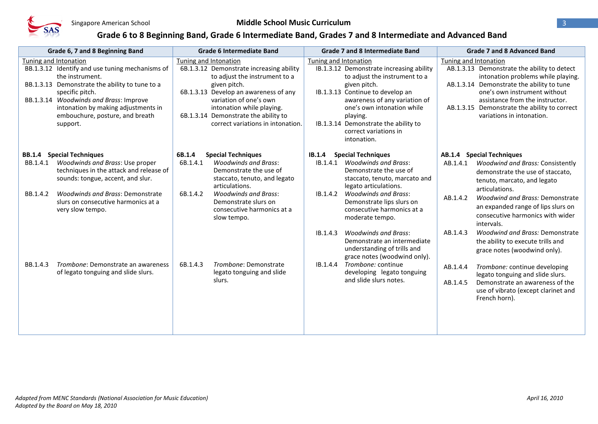

|                      | Grade 6, 7 and 8 Beginning Band                                                                                                                                                                                                                                                                  |                       | <b>Grade 6 Intermediate Band</b>                                                                                                                                                                                                                                       |                                  | <b>Grade 7 and 8 Intermediate Band</b>                                                                                                                                                                                                                                                   |                                  | <b>Grade 7 and 8 Advanced Band</b>                                                                                                                                                                                                                                                         |
|----------------------|--------------------------------------------------------------------------------------------------------------------------------------------------------------------------------------------------------------------------------------------------------------------------------------------------|-----------------------|------------------------------------------------------------------------------------------------------------------------------------------------------------------------------------------------------------------------------------------------------------------------|----------------------------------|------------------------------------------------------------------------------------------------------------------------------------------------------------------------------------------------------------------------------------------------------------------------------------------|----------------------------------|--------------------------------------------------------------------------------------------------------------------------------------------------------------------------------------------------------------------------------------------------------------------------------------------|
|                      | Tuning and Intonation<br>BB.1.3.12 Identify and use tuning mechanisms of<br>the instrument.<br>BB.1.3.13 Demonstrate the ability to tune to a<br>specific pitch.<br>BB.1.3.14 Woodwinds and Brass: Improve<br>intonation by making adjustments in<br>embouchure, posture, and breath<br>support. | Tuning and Intonation | 6B.1.3.12 Demonstrate increasing ability<br>to adjust the instrument to a<br>given pitch.<br>6B.1.3.13 Develop an awareness of any<br>variation of one's own<br>intonation while playing.<br>6B.1.3.14 Demonstrate the ability to<br>correct variations in intonation. | Tuning and Intonation            | IB.1.3.12 Demonstrate increasing ability<br>to adjust the instrument to a<br>given pitch.<br>IB.1.3.13 Continue to develop an<br>awareness of any variation of<br>one's own intonation while<br>playing.<br>IB.1.3.14 Demonstrate the ability to<br>correct variations in<br>intonation. | Tuning and Intonation            | AB.1.3.13 Demonstrate the ability to detect<br>intonation problems while playing.<br>AB.1.3.14 Demonstrate the ability to tune<br>one's own instrument without<br>assistance from the instructor.<br>AB.1.3.15 Demonstrate the ability to correct<br>variations in intonation.             |
| <b>BB.1.4</b>        | <b>Special Techniques</b>                                                                                                                                                                                                                                                                        | 6B.1.4                | <b>Special Techniques</b>                                                                                                                                                                                                                                              | IB.1.4                           | <b>Special Techniques</b>                                                                                                                                                                                                                                                                |                                  | <b>AB.1.4 Special Techniques</b>                                                                                                                                                                                                                                                           |
| BB.1.4.1<br>BB.1.4.2 | Woodwinds and Brass: Use proper<br>techniques in the attack and release of<br>sounds: tongue, accent, and slur.<br><b>Woodwinds and Brass: Demonstrate</b><br>slurs on consecutive harmonics at a<br>very slow tempo.                                                                            | 6B.1.4.1<br>6B.1.4.2  | <b>Woodwinds and Brass:</b><br>Demonstrate the use of<br>staccato, tenuto, and legato<br>articulations.<br><b>Woodwinds and Brass:</b><br>Demonstrate slurs on<br>consecutive harmonics at a<br>slow tempo.                                                            | IB.1.4.1<br>IB.1.4.2<br>IB.1.4.3 | <b>Woodwinds and Brass:</b><br>Demonstrate the use of<br>staccato, tenuto, marcato and<br>legato articulations.<br><b>Woodwinds and Brass:</b><br>Demonstrate lips slurs on<br>consecutive harmonics at a<br>moderate tempo.<br><b>Woodwinds and Brass:</b>                              | AB.1.4.1<br>AB.1.4.2<br>AB.1.4.3 | Woodwind and Brass: Consistently<br>demonstrate the use of staccato,<br>tenuto, marcato, and legato<br>articulations.<br><b>Woodwind and Brass: Demonstrate</b><br>an expanded range of lips slurs on<br>consecutive harmonics with wider<br>intervals.<br>Woodwind and Brass: Demonstrate |
| BB.1.4.3             | Trombone: Demonstrate an awareness<br>of legato tonguing and slide slurs.                                                                                                                                                                                                                        | 6B.1.4.3<br>slurs.    | Trombone: Demonstrate<br>legato tonguing and slide                                                                                                                                                                                                                     | IB.1.4.4                         | Demonstrate an intermediate<br>understanding of trills and<br>grace notes (woodwind only).<br>Trombone: continue<br>developing legato tonguing<br>and slide slurs notes.                                                                                                                 | AB.1.4.4<br>AB.1.4.5             | the ability to execute trills and<br>grace notes (woodwind only).<br>Trombone: continue developing<br>legato tonguing and slide slurs.<br>Demonstrate an awareness of the<br>use of vibrato (except clarinet and<br>French horn).                                                          |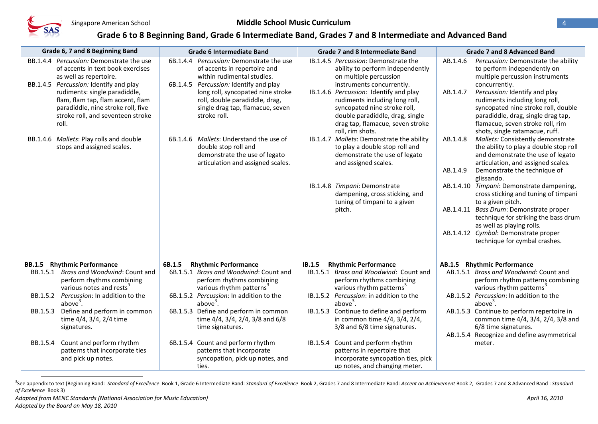$\overline{a}$ 

### **Grade 6 to 8 Beginning Band, Grade 6 Intermediate Band, Grades 7 and 8 Intermediate and Advanced Band**

|          | Grade 6, 7 and 8 Beginning Band                                                                                                                                                                                                                                                                             | <b>Grade 6 Intermediate Band</b>                                                                                                                                                                                                                                            | <b>Grade 7 and 8 Intermediate Band</b>                                                                                                                                                                                                                                                                                                 | <b>Grade 7 and 8 Advanced Band</b>                                                                                                                                                                                                                                                                                                                                   |
|----------|-------------------------------------------------------------------------------------------------------------------------------------------------------------------------------------------------------------------------------------------------------------------------------------------------------------|-----------------------------------------------------------------------------------------------------------------------------------------------------------------------------------------------------------------------------------------------------------------------------|----------------------------------------------------------------------------------------------------------------------------------------------------------------------------------------------------------------------------------------------------------------------------------------------------------------------------------------|----------------------------------------------------------------------------------------------------------------------------------------------------------------------------------------------------------------------------------------------------------------------------------------------------------------------------------------------------------------------|
|          | BB.1.4.4 Percussion: Demonstrate the use<br>of accents in text book exercises<br>as well as repertoire.<br>BB.1.4.5 Percussion: Identify and play<br>rudiments: single paradiddle,<br>flam, flam tap, flam accent, flam<br>paradiddle, nine stroke roll, five<br>stroke roll, and seventeen stroke<br>roll. | 6B.1.4.4 Percussion: Demonstrate the use<br>of accents in repertoire and<br>within rudimental studies.<br>6B.1.4.5 Percussion: Identify and play<br>long roll, syncopated nine stroke<br>roll, double paradiddle, drag,<br>single drag tap, flamacue, seven<br>stroke roll. | IB.1.4.5 Percussion: Demonstrate the<br>ability to perform independently<br>on multiple percussion<br>instruments concurrently.<br>IB.1.4.6 Percussion: Identify and play<br>rudiments including long roll,<br>syncopated nine stroke roll,<br>double paradiddle, drag, single<br>drag tap, flamacue, seven stroke<br>roll, rim shots. | AB.1.4.6<br>Percussion: Demonstrate the ability<br>to perform independently on<br>multiple percussion instruments<br>concurrently.<br>AB.1.4.7<br>Percussion: Identify and play<br>rudiments including long roll,<br>syncopated nine stroke roll, double<br>paradiddle, drag, single drag tap,<br>flamacue, seven stroke roll, rim<br>shots, single ratamacue, ruff. |
|          | BB.1.4.6 Mallets: Play rolls and double<br>stops and assigned scales.                                                                                                                                                                                                                                       | 6B.1.4.6 Mallets: Understand the use of<br>double stop roll and<br>demonstrate the use of legato<br>articulation and assigned scales.                                                                                                                                       | IB.1.4.7 Mallets: Demonstrate the ability<br>to play a double stop roll and<br>demonstrate the use of legato<br>and assigned scales.                                                                                                                                                                                                   | AB.1.4.8<br>Mallets: Consistently demonstrate<br>the ability to play a double stop roll<br>and demonstrate the use of legato<br>articulation, and assigned scales.<br>AB.1.4.9<br>Demonstrate the technique of<br>glissando.                                                                                                                                         |
|          |                                                                                                                                                                                                                                                                                                             |                                                                                                                                                                                                                                                                             | IB.1.4.8 Timpani: Demonstrate<br>dampening, cross sticking, and<br>tuning of timpani to a given<br>pitch.                                                                                                                                                                                                                              | AB.1.4.10 Timpani: Demonstrate dampening,<br>cross sticking and tuning of timpani<br>to a given pitch.<br>AB.1.4.11 Bass Drum: Demonstrate proper<br>technique for striking the bass drum<br>as well as playing rolls.                                                                                                                                               |
|          | <b>BB.1.5</b> Rhythmic Performance                                                                                                                                                                                                                                                                          | 6B.1.5<br><b>Rhythmic Performance</b>                                                                                                                                                                                                                                       | <b>Rhythmic Performance</b><br><b>IB.1.5</b>                                                                                                                                                                                                                                                                                           | AB.1.4.12 Cymbal: Demonstrate proper<br>technique for cymbal crashes.<br>AB.1.5 Rhythmic Performance                                                                                                                                                                                                                                                                 |
|          | BB.1.5.1 Brass and Woodwind: Count and<br>perform rhythms combining<br>various notes and rests <sup>3</sup>                                                                                                                                                                                                 | 6B.1.5.1 Brass and Woodwind: Count and<br>perform rhythms combining<br>various rhythm patterns <sup>3</sup>                                                                                                                                                                 | IB.1.5.1 Brass and Woodwind: Count and<br>perform rhythms combining<br>various rhythm patterns <sup>3</sup>                                                                                                                                                                                                                            | AB.1.5.1 Brass and Woodwind: Count and<br>perform rhythm patterns combining<br>various rhythm patterns <sup>3</sup>                                                                                                                                                                                                                                                  |
|          | BB.1.5.2 Percussion: In addition to the<br>above $3$ .                                                                                                                                                                                                                                                      | 6B.1.5.2 Percussion: In addition to the<br>above $3$ .                                                                                                                                                                                                                      | IB.1.5.2 Percussion: in addition to the<br>above $3$ .                                                                                                                                                                                                                                                                                 | AB.1.5.2 Percussion: In addition to the<br>above $3$ .                                                                                                                                                                                                                                                                                                               |
| BB.1.5.3 | Define and perform in common<br>time 4/4, 3/4, 2/4 time<br>signatures.                                                                                                                                                                                                                                      | 6B.1.5.3 Define and perform in common<br>time 4/4, 3/4, 2/4, 3/8 and 6/8<br>time signatures.                                                                                                                                                                                | IB.1.5.3 Continue to define and perform<br>in common time 4/4, 3/4, 2/4,<br>3/8 and 6/8 time signatures.                                                                                                                                                                                                                               | AB.1.5.3 Continue to perform repertoire in<br>common time 4/4, 3/4, 2/4, 3/8 and<br>6/8 time signatures.<br>AB.1.5.4 Recognize and define asymmetrical                                                                                                                                                                                                               |
| BB.1.5.4 | Count and perform rhythm<br>patterns that incorporate ties<br>and pick up notes.                                                                                                                                                                                                                            | 6B.1.5.4 Count and perform rhythm<br>patterns that incorporate<br>syncopation, pick up notes, and<br>ties.                                                                                                                                                                  | Count and perform rhythm<br>IB.1.5.4<br>patterns in repertoire that<br>incorporate syncopation ties, pick<br>up notes, and changing meter.                                                                                                                                                                                             | meter.                                                                                                                                                                                                                                                                                                                                                               |

<sup>3</sup>See appendix to text (Beginning Band: Standard of Excellence Book 1, Grade 6 Intermediate Band: Standard of Excellence Book 2, Grades 7 and 8 Intermediate Band: Accent on Achievement Book 2, Grades 7 and 8 Advanced Band *of Excellence* Book 3)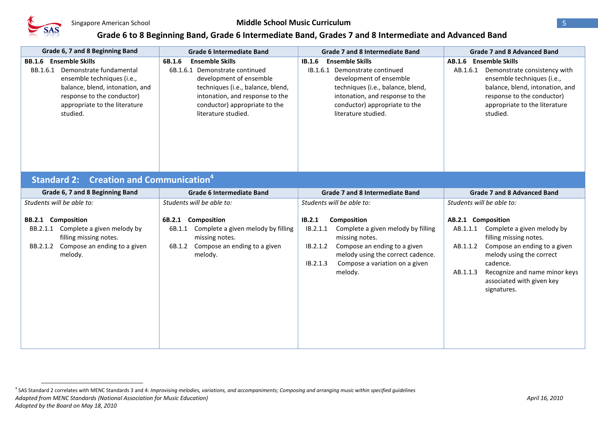

 $\overline{a}$ 

#### Singapore American School **Middle School Music Curriculum** 5

| Grade 6, 7 and 8 Beginning Band                                                                                                                                                                                  | <b>Grade 6 Intermediate Band</b>                                                                                                                                                                                              | <b>Grade 7 and 8 Intermediate Band</b>                                                                                                                                                                                                     | <b>Grade 7 and 8 Advanced Band</b>                                                                                                                                                                                                                                  |  |  |
|------------------------------------------------------------------------------------------------------------------------------------------------------------------------------------------------------------------|-------------------------------------------------------------------------------------------------------------------------------------------------------------------------------------------------------------------------------|--------------------------------------------------------------------------------------------------------------------------------------------------------------------------------------------------------------------------------------------|---------------------------------------------------------------------------------------------------------------------------------------------------------------------------------------------------------------------------------------------------------------------|--|--|
| <b>BB.1.6</b> Ensemble Skills<br>BB.1.6.1<br>Demonstrate fundamental<br>ensemble techniques (i.e.,<br>balance, blend, intonation, and<br>response to the conductor)<br>appropriate to the literature<br>studied. | <b>Ensemble Skills</b><br>6B.1.6<br>6B.1.6.1 Demonstrate continued<br>development of ensemble<br>techniques (i.e., balance, blend,<br>intonation, and response to the<br>conductor) appropriate to the<br>literature studied. | <b>Ensemble Skills</b><br>IB.1.6<br>IB.1.6.1 Demonstrate continued<br>development of ensemble<br>techniques (i.e., balance, blend,<br>intonation, and response to the<br>conductor) appropriate to the<br>literature studied.              | AB.1.6 Ensemble Skills<br>AB.1.6.1<br>Demonstrate consistency with<br>ensemble techniques (i.e.,<br>balance, blend, intonation, and<br>response to the conductor)<br>appropriate to the literature<br>studied.                                                      |  |  |
| <b>Creation and Communication</b> <sup>4</sup><br><b>Standard 2:</b>                                                                                                                                             |                                                                                                                                                                                                                               |                                                                                                                                                                                                                                            |                                                                                                                                                                                                                                                                     |  |  |
| Grade 6, 7 and 8 Beginning Band                                                                                                                                                                                  | <b>Grade 6 Intermediate Band</b>                                                                                                                                                                                              | <b>Grade 7 and 8 Intermediate Band</b>                                                                                                                                                                                                     | <b>Grade 7 and 8 Advanced Band</b>                                                                                                                                                                                                                                  |  |  |
| Students will be able to:                                                                                                                                                                                        | Students will be able to:                                                                                                                                                                                                     | Students will be able to:                                                                                                                                                                                                                  | Students will be able to:                                                                                                                                                                                                                                           |  |  |
| <b>Composition</b><br><b>BB.2.1</b><br>BB.2.1.1 Complete a given melody by<br>filling missing notes.<br>BB.2.1.2 Compose an ending to a given<br>melody.                                                         | 6B.2.1<br><b>Composition</b><br>6B.1.1<br>Complete a given melody by filling<br>missing notes.<br>Compose an ending to a given<br>6B.1.2<br>melody.                                                                           | IB.2.1<br><b>Composition</b><br>IB.2.1.1<br>Complete a given melody by filling<br>missing notes.<br>Compose an ending to a given<br>IB.2.1.2<br>melody using the correct cadence.<br>IB.2.1.3<br>Compose a variation on a given<br>melody. | AB.2.1 Composition<br>AB.1.1.1<br>Complete a given melody by<br>filling missing notes.<br>Compose an ending to a given<br>AB.1.1.2<br>melody using the correct<br>cadence.<br>Recognize and name minor keys<br>AB.1.1.3<br>associated with given key<br>signatures. |  |  |

*Adapted from MENC Standards (National Association for Music Education) April 16, 2010 Adopted by the Board on May 18, 2010* 4 SAS Standard 2 correlates with MENC Standards 3 and 4: *Improvising melodies, variations, and accompaniments; Composing and arranging music within specified guidelines*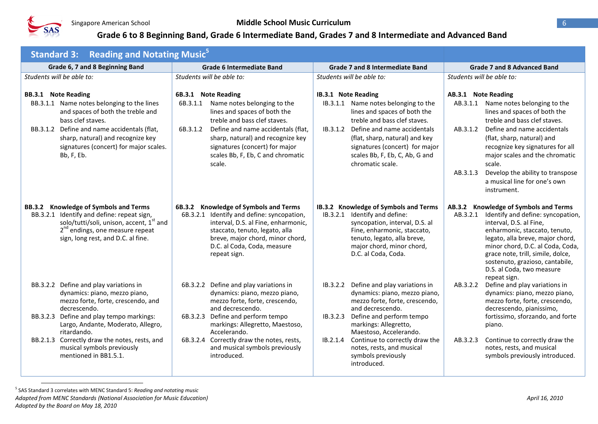

| <b>Reading and Notating Music<sup>5</sup></b><br><b>Standard 3:</b>                                                                                                                                                                                                            |                                                                                                                                                                                                                                                                                                        |                                                                                                                                                                                                                                                                                                  |                                                                                                                                                                                                                                                                                                                                                                                        |  |
|--------------------------------------------------------------------------------------------------------------------------------------------------------------------------------------------------------------------------------------------------------------------------------|--------------------------------------------------------------------------------------------------------------------------------------------------------------------------------------------------------------------------------------------------------------------------------------------------------|--------------------------------------------------------------------------------------------------------------------------------------------------------------------------------------------------------------------------------------------------------------------------------------------------|----------------------------------------------------------------------------------------------------------------------------------------------------------------------------------------------------------------------------------------------------------------------------------------------------------------------------------------------------------------------------------------|--|
| Grade 6, 7 and 8 Beginning Band                                                                                                                                                                                                                                                | <b>Grade 6 Intermediate Band</b>                                                                                                                                                                                                                                                                       | <b>Grade 7 and 8 Intermediate Band</b>                                                                                                                                                                                                                                                           | <b>Grade 7 and 8 Advanced Band</b>                                                                                                                                                                                                                                                                                                                                                     |  |
| Students will be able to:                                                                                                                                                                                                                                                      | Students will be able to:                                                                                                                                                                                                                                                                              | Students will be able to:                                                                                                                                                                                                                                                                        | Students will be able to:                                                                                                                                                                                                                                                                                                                                                              |  |
| <b>BB.3.1</b> Note Reading<br>BB.3.1.1 Name notes belonging to the lines<br>and spaces of both the treble and<br>bass clef staves.<br>BB.3.1.2 Define and name accidentals (flat,<br>sharp, natural) and recognize key<br>signatures (concert) for major scales.<br>Bb, F, Eb. | 6B.3.1 Note Reading<br>Name notes belonging to the<br>6B.3.1.1<br>lines and spaces of both the<br>treble and bass clef staves.<br>6B.3.1.2<br>Define and name accidentals (flat,<br>sharp, natural) and recognize key<br>signatures (concert) for major<br>scales Bb, F, Eb, C and chromatic<br>scale. | IB.3.1 Note Reading<br>IB.3.1.1 Name notes belonging to the<br>lines and spaces of both the<br>treble and bass clef staves.<br>Define and name accidentals<br>IB.3.1.2<br>(flat, sharp, natural) and key<br>signatures (concert) for major<br>scales Bb, F, Eb, C, Ab, G and<br>chromatic scale. | AB.3.1 Note Reading<br>Name notes belonging to the<br>AB.3.1.1<br>lines and spaces of both the<br>treble and bass clef staves.<br>Define and name accidentals<br>AB.3.1.2<br>(flat, sharp, natural) and<br>recognize key signatures for all<br>major scales and the chromatic<br>scale.<br>AB.3.1.3<br>Develop the ability to transpose<br>a musical line for one's own<br>instrument. |  |
| <b>Knowledge of Symbols and Terms</b><br><b>BB.3.2</b><br>BB.3.2.1 Identify and define: repeat sign,<br>solo/tutti/soli, unison, accent, 1st and<br>2 <sup>nd</sup> endings, one measure repeat<br>sign, long rest, and D.C. al fine.                                          | 6B.3.2 Knowledge of Symbols and Terms<br>6B.3.2.1 Identify and define: syncopation,<br>interval, D.S. al Fine, enharmonic,<br>staccato, tenuto, legato, alla<br>breve, major chord, minor chord,<br>D.C. al Coda, Coda, measure<br>repeat sign.                                                        | IB.3.2 Knowledge of Symbols and Terms<br>Identify and define:<br>IB.3.2.1<br>syncopation, interval, D.S. al<br>Fine, enharmonic, staccato,<br>tenuto, legato, alla breve,<br>major chord, minor chord,<br>D.C. al Coda, Coda.                                                                    | AB.3.2 Knowledge of Symbols and Terms<br>Identify and define: syncopation,<br>AB.3.2.1<br>interval, D.S. al Fine,<br>enharmonic, staccato, tenuto,<br>legato, alla breve, major chord,<br>minor chord, D.C. al Coda, Coda,<br>grace note, trill, simile, dolce,<br>sostenuto, grazioso, cantabile,<br>D.S. al Coda, two measure<br>repeat sign.                                        |  |
| BB.3.2.2 Define and play variations in<br>dynamics: piano, mezzo piano,<br>mezzo forte, forte, crescendo, and<br>decrescendo.<br>BB.3.2.3 Define and play tempo markings:<br>Largo, Andante, Moderato, Allegro,<br>ritardando.                                                 | 6B.3.2.2 Define and play variations in<br>dynamics: piano, mezzo piano,<br>mezzo forte, forte, crescendo,<br>and decrescendo.<br>6B.3.2.3 Define and perform tempo<br>markings: Allegretto, Maestoso,<br>Accelerando.                                                                                  | Define and play variations in<br>IB.3.2.2<br>dynamics: piano, mezzo piano,<br>mezzo forte, forte, crescendo,<br>and decrescendo.<br>Define and perform tempo<br>IB.3.2.3<br>markings: Allegretto,<br>Maestoso, Accelerando.                                                                      | AB.3.2.2<br>Define and play variations in<br>dynamics: piano, mezzo piano,<br>mezzo forte, forte, crescendo,<br>decrescendo, pianissimo,<br>fortissimo, sforzando, and forte<br>piano.                                                                                                                                                                                                 |  |
| BB.2.1.3 Correctly draw the notes, rests, and<br>musical symbols previously<br>mentioned in BB1.5.1.                                                                                                                                                                           | 6B.3.2.4 Correctly draw the notes, rests,<br>and musical symbols previously<br>introduced.                                                                                                                                                                                                             | Continue to correctly draw the<br>IB.2.1.4<br>notes, rests, and musical<br>symbols previously<br>introduced.                                                                                                                                                                                     | Continue to correctly draw the<br>AB.3.2.3<br>notes, rests, and musical<br>symbols previously introduced.                                                                                                                                                                                                                                                                              |  |

*Adapted from MENC Standards (National Association for Music Education) April 16, 2010 Adopted by the Board on May 18, 2010* 5 SAS Standard 3 correlates with MENC Standard 5: *Reading and notating music*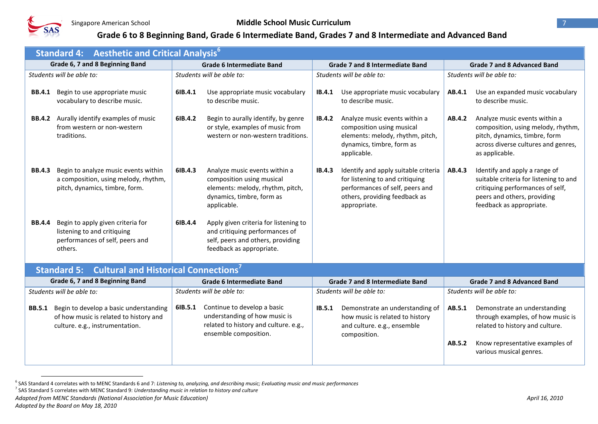

|               | <b>Standard 4: Aesthetic and Critical Analysis</b> <sup>6</sup>                                                     |                           |                                                                                                                                            |                                        |                                                                                                                                                             |                           |                                                                                                                                                                        |  |
|---------------|---------------------------------------------------------------------------------------------------------------------|---------------------------|--------------------------------------------------------------------------------------------------------------------------------------------|----------------------------------------|-------------------------------------------------------------------------------------------------------------------------------------------------------------|---------------------------|------------------------------------------------------------------------------------------------------------------------------------------------------------------------|--|
|               | Grade 6, 7 and 8 Beginning Band                                                                                     |                           | <b>Grade 6 Intermediate Band</b>                                                                                                           |                                        | <b>Grade 7 and 8 Intermediate Band</b>                                                                                                                      |                           | <b>Grade 7 and 8 Advanced Band</b>                                                                                                                                     |  |
|               | Students will be able to:                                                                                           | Students will be able to: |                                                                                                                                            |                                        | Students will be able to:                                                                                                                                   |                           | Students will be able to:                                                                                                                                              |  |
| <b>BB.4.1</b> | Begin to use appropriate music<br>vocabulary to describe music.                                                     | 61B.4.1                   | Use appropriate music vocabulary<br>to describe music.                                                                                     | IB.4.1                                 | Use appropriate music vocabulary<br>to describe music.                                                                                                      | AB.4.1                    | Use an expanded music vocabulary<br>to describe music.                                                                                                                 |  |
| <b>BB.4.2</b> | Aurally identify examples of music<br>from western or non-western<br>traditions.                                    | 61B.4.2                   | Begin to aurally identify, by genre<br>or style, examples of music from<br>western or non-western traditions.                              | IB.4.2                                 | Analyze music events within a<br>composition using musical<br>elements: melody, rhythm, pitch,<br>dynamics, timbre, form as<br>applicable.                  | AB.4.2                    | Analyze music events within a<br>composition, using melody, rhythm,<br>pitch, dynamics, timbre, form<br>across diverse cultures and genres,<br>as applicable.          |  |
| <b>BB.4.3</b> | Begin to analyze music events within<br>a composition, using melody, rhythm,<br>pitch, dynamics, timbre, form.      | 61B.4.3                   | Analyze music events within a<br>composition using musical<br>elements: melody, rhythm, pitch,<br>dynamics, timbre, form as<br>applicable. | IB.4.3                                 | Identify and apply suitable criteria<br>for listening to and critiquing<br>performances of self, peers and<br>others, providing feedback as<br>appropriate. | AB.4.3                    | Identify and apply a range of<br>suitable criteria for listening to and<br>critiquing performances of self,<br>peers and others, providing<br>feedback as appropriate. |  |
| <b>BB.4.4</b> | Begin to apply given criteria for<br>listening to and critiquing<br>performances of self, peers and<br>others.      | 61B.4.4                   | Apply given criteria for listening to<br>and critiquing performances of<br>self, peers and others, providing<br>feedback as appropriate.   |                                        |                                                                                                                                                             |                           |                                                                                                                                                                        |  |
|               | <b>Cultural and Historical Connections</b><br><b>Standard 5:</b>                                                    |                           |                                                                                                                                            |                                        |                                                                                                                                                             |                           |                                                                                                                                                                        |  |
|               | Grade 6, 7 and 8 Beginning Band                                                                                     |                           | <b>Grade 6 Intermediate Band</b>                                                                                                           | <b>Grade 7 and 8 Intermediate Band</b> |                                                                                                                                                             |                           | <b>Grade 7 and 8 Advanced Band</b>                                                                                                                                     |  |
|               | Students will be able to:                                                                                           | Students will be able to: |                                                                                                                                            | Students will be able to:              |                                                                                                                                                             | Students will be able to: |                                                                                                                                                                        |  |
| <b>BB.5.1</b> | Begin to develop a basic understanding<br>of how music is related to history and<br>culture. e.g., instrumentation. | 61B.5.1                   | Continue to develop a basic<br>understanding of how music is<br>related to history and culture. e.g.,<br>ensemble composition.             | IB.5.1                                 | Demonstrate an understanding of<br>how music is related to history<br>and culture. e.g., ensemble<br>composition.                                           | AB.5.1<br>AB.5.2          | Demonstrate an understanding<br>through examples, of how music is<br>related to history and culture.<br>Know representative examples of<br>various musical genres.     |  |

 6 SAS Standard 4 correlates with to MENC Standards 6 and 7: *Listening to, analyzing, and describing music; Evaluating music and music performances*

<sup>7</sup> SAS Standard 5 correlates with MENC Standard 9: *Understanding music in relation to history and culture*

*Adapted from MENC Standards (National Association for Music Education) April 16, 2010*

*Adopted by the Board on May 18, 2010*